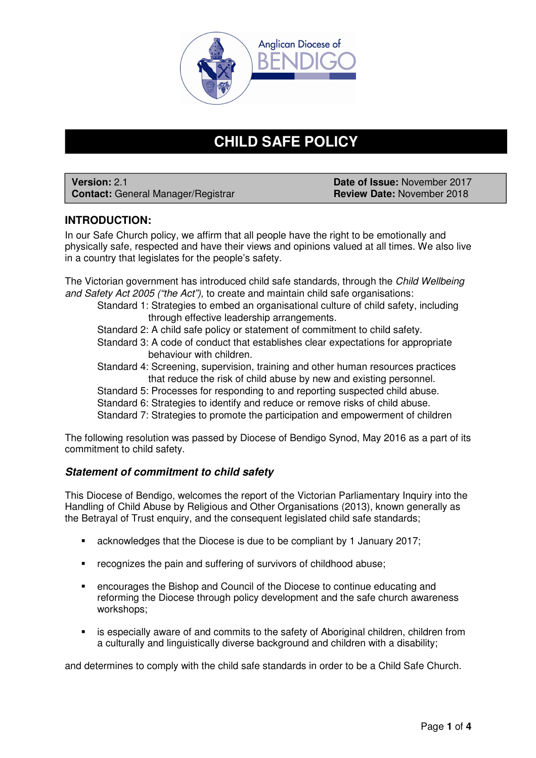

# **CHILD SAFE POLICY**

**Version:** 2.1 **Date of Issue:** November 2017 **Contact: General Manager/Registrar** 

# **INTRODUCTION:**

In our Safe Church policy, we affirm that all people have the right to be emotionally and physically safe, respected and have their views and opinions valued at all times. We also live in a country that legislates for the people's safety.

The Victorian government has introduced child safe standards, through the Child Wellbeing and Safety Act 2005 ("the Act"), to create and maintain child safe organisations:

- Standard 1: Strategies to embed an organisational culture of child safety, including through effective leadership arrangements.
- Standard 2: A child safe policy or statement of commitment to child safety.
- Standard 3: A code of conduct that establishes clear expectations for appropriate behaviour with children.
- Standard 4: Screening, supervision, training and other human resources practices that reduce the risk of child abuse by new and existing personnel.
- Standard 5: Processes for responding to and reporting suspected child abuse.
- Standard 6: Strategies to identify and reduce or remove risks of child abuse.

Standard 7: Strategies to promote the participation and empowerment of children

The following resolution was passed by Diocese of Bendigo Synod, May 2016 as a part of its commitment to child safety.

# **Statement of commitment to child safety**

This Diocese of Bendigo, welcomes the report of the Victorian Parliamentary Inquiry into the Handling of Child Abuse by Religious and Other Organisations (2013), known generally as the Betrayal of Trust enquiry, and the consequent legislated child safe standards;

- acknowledges that the Diocese is due to be compliant by 1 January 2017;
- **F** recognizes the pain and suffering of survivors of childhood abuse;
- encourages the Bishop and Council of the Diocese to continue educating and reforming the Diocese through policy development and the safe church awareness workshops;
- **EXECT** is especially aware of and commits to the safety of Aboriginal children, children from a culturally and linguistically diverse background and children with a disability;

and determines to comply with the child safe standards in order to be a Child Safe Church.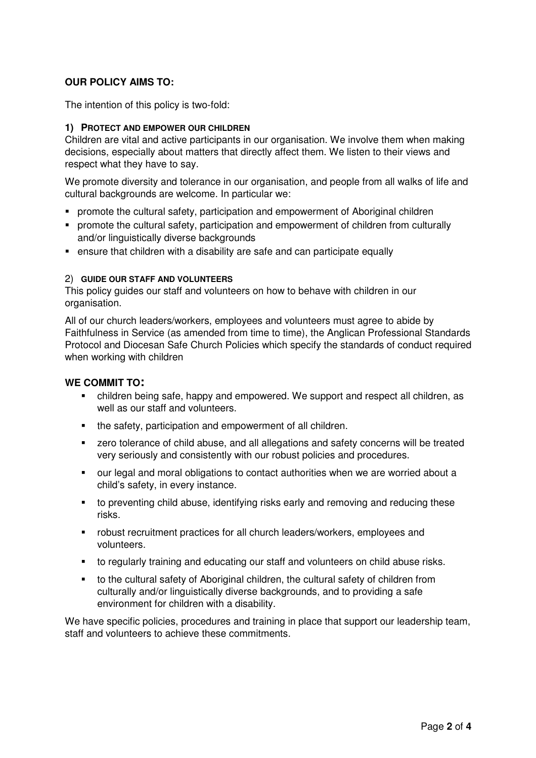# **OUR POLICY AIMS TO:**

The intention of this policy is two-fold:

## **1) PROTECT AND EMPOWER OUR CHILDREN**

Children are vital and active participants in our organisation. We involve them when making decisions, especially about matters that directly affect them. We listen to their views and respect what they have to say.

We promote diversity and tolerance in our organisation, and people from all walks of life and cultural backgrounds are welcome. In particular we:

- **promote the cultural safety, participation and empowerment of Aboriginal children**
- promote the cultural safety, participation and empowerment of children from culturally and/or linguistically diverse backgrounds
- ensure that children with a disability are safe and can participate equally

## 2) **GUIDE OUR STAFF AND VOLUNTEERS**

This policy guides our staff and volunteers on how to behave with children in our organisation.

All of our church leaders/workers, employees and volunteers must agree to abide by Faithfulness in Service (as amended from time to time), the Anglican Professional Standards Protocol and Diocesan Safe Church Policies which specify the standards of conduct required when working with children

## **WE COMMIT TO:**

- children being safe, happy and empowered. We support and respect all children, as well as our staff and volunteers.
- the safety, participation and empowerment of all children.
- **EXECT** zero tolerance of child abuse, and all allegations and safety concerns will be treated very seriously and consistently with our robust policies and procedures.
- our legal and moral obligations to contact authorities when we are worried about a child's safety, in every instance.
- to preventing child abuse, identifying risks early and removing and reducing these risks.
- robust recruitment practices for all church leaders/workers, employees and volunteers.
- to regularly training and educating our staff and volunteers on child abuse risks.
- to the cultural safety of Aboriginal children, the cultural safety of children from culturally and/or linguistically diverse backgrounds, and to providing a safe environment for children with a disability.

We have specific policies, procedures and training in place that support our leadership team, staff and volunteers to achieve these commitments.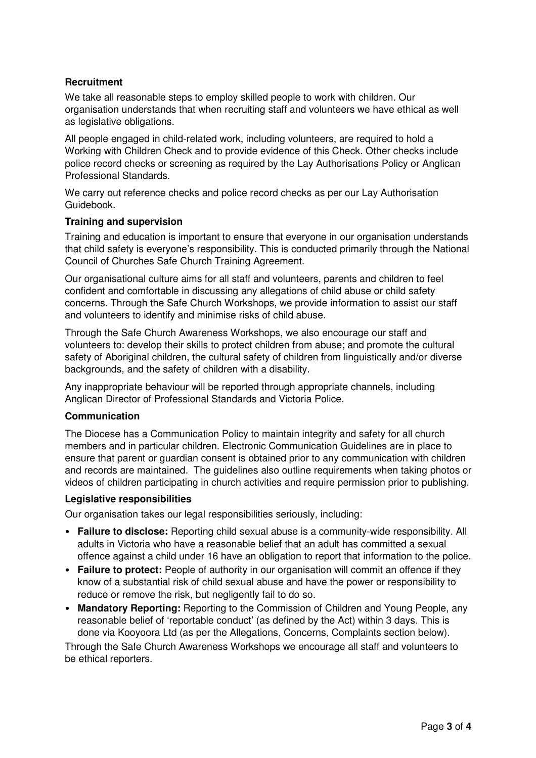## **Recruitment**

We take all reasonable steps to employ skilled people to work with children. Our organisation understands that when recruiting staff and volunteers we have ethical as well as legislative obligations.

All people engaged in child-related work, including volunteers, are required to hold a Working with Children Check and to provide evidence of this Check. Other checks include police record checks or screening as required by the Lay Authorisations Policy or Anglican Professional Standards.

We carry out reference checks and police record checks as per our Lay Authorisation Guidebook.

#### **Training and supervision**

Training and education is important to ensure that everyone in our organisation understands that child safety is everyone's responsibility. This is conducted primarily through the National Council of Churches Safe Church Training Agreement.

Our organisational culture aims for all staff and volunteers, parents and children to feel confident and comfortable in discussing any allegations of child abuse or child safety concerns. Through the Safe Church Workshops, we provide information to assist our staff and volunteers to identify and minimise risks of child abuse.

Through the Safe Church Awareness Workshops, we also encourage our staff and volunteers to: develop their skills to protect children from abuse; and promote the cultural safety of Aboriginal children, the cultural safety of children from linguistically and/or diverse backgrounds, and the safety of children with a disability.

Any inappropriate behaviour will be reported through appropriate channels, including Anglican Director of Professional Standards and Victoria Police.

## **Communication**

The Diocese has a Communication Policy to maintain integrity and safety for all church members and in particular children. Electronic Communication Guidelines are in place to ensure that parent or guardian consent is obtained prior to any communication with children and records are maintained. The guidelines also outline requirements when taking photos or videos of children participating in church activities and require permission prior to publishing.

#### **Legislative responsibilities**

Our organisation takes our legal responsibilities seriously, including:

- **Failure to disclose:** Reporting child sexual abuse is a community-wide responsibility. All adults in Victoria who have a reasonable belief that an adult has committed a sexual offence against a child under 16 have an obligation to report that information to the police.
- **Failure to protect:** People of authority in our organisation will commit an offence if they know of a substantial risk of child sexual abuse and have the power or responsibility to reduce or remove the risk, but negligently fail to do so.
- **Mandatory Reporting:** Reporting to the Commission of Children and Young People, any reasonable belief of 'reportable conduct' (as defined by the Act) within 3 days. This is done via Kooyoora Ltd (as per the Allegations, Concerns, Complaints section below).

Through the Safe Church Awareness Workshops we encourage all staff and volunteers to be ethical reporters.